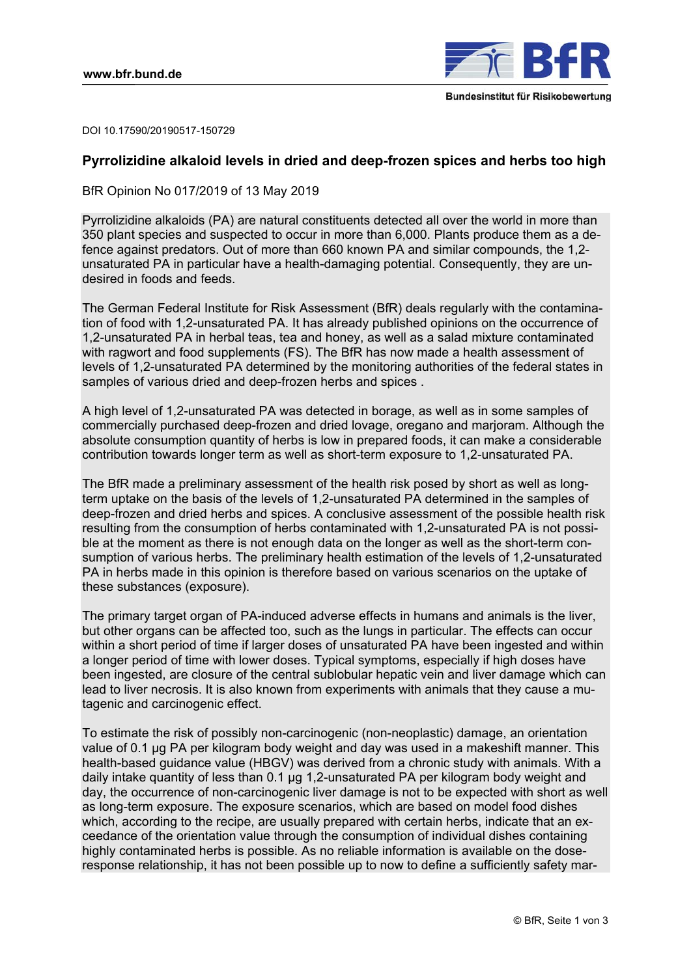

DOI 10.17590/20190517-150729

# **Pyrrolizidine alkaloid levels in dried and deep-frozen spices and herbs too high**

BfR Opinion No 017/2019 of 13 May 2019

Pyrrolizidine alkaloids (PA) are natural constituents detected all over the world in more than 350 plant species and suspected to occur in more than 6,000. Plants produce them as a defence against predators. Out of more than 660 known PA and similar compounds, the 1,2 unsaturated PA in particular have a health-damaging potential. Consequently, they are undesired in foods and feeds.

The German Federal Institute for Risk Assessment (BfR) deals regularly with the contamination of food with 1,2-unsaturated PA. It has already published opinions on the occurrence of 1,2-unsaturated PA in herbal teas, tea and honey, as well as a salad mixture contaminated with ragwort and food supplements (FS). The BfR has now made a health assessment of levels of 1,2-unsaturated PA determined by the monitoring authorities of the federal states in samples of various dried and deep-frozen herbs and spices .

A high level of 1,2-unsaturated PA was detected in borage, as well as in some samples of commercially purchased deep-frozen and dried lovage, oregano and marjoram. Although the absolute consumption quantity of herbs is low in prepared foods, it can make a considerable contribution towards longer term as well as short-term exposure to 1,2-unsaturated PA.

The BfR made a preliminary assessment of the health risk posed by short as well as longterm uptake on the basis of the levels of 1,2-unsaturated PA determined in the samples of deep-frozen and dried herbs and spices. A conclusive assessment of the possible health risk resulting from the consumption of herbs contaminated with 1,2-unsaturated PA is not possible at the moment as there is not enough data on the longer as well as the short-term consumption of various herbs. The preliminary health estimation of the levels of 1,2-unsaturated PA in herbs made in this opinion is therefore based on various scenarios on the uptake of these substances (exposure).

The primary target organ of PA-induced adverse effects in humans and animals is the liver, but other organs can be affected too, such as the lungs in particular. The effects can occur within a short period of time if larger doses of unsaturated PA have been ingested and within a longer period of time with lower doses. Typical symptoms, especially if high doses have been ingested, are closure of the central sublobular hepatic vein and liver damage which can lead to liver necrosis. It is also known from experiments with animals that they cause a mutagenic and carcinogenic effect.

To estimate the risk of possibly non-carcinogenic (non-neoplastic) damage, an orientation value of 0.1 µg PA per kilogram body weight and day was used in a makeshift manner. This health-based guidance value (HBGV) was derived from a chronic study with animals. With a daily intake quantity of less than 0.1 µg 1,2-unsaturated PA per kilogram body weight and day, the occurrence of non-carcinogenic liver damage is not to be expected with short as well as long-term exposure. The exposure scenarios, which are based on model food dishes which, according to the recipe, are usually prepared with certain herbs, indicate that an exceedance of the orientation value through the consumption of individual dishes containing highly contaminated herbs is possible. As no reliable information is available on the doseresponse relationship, it has not been possible up to now to define a sufficiently safety mar-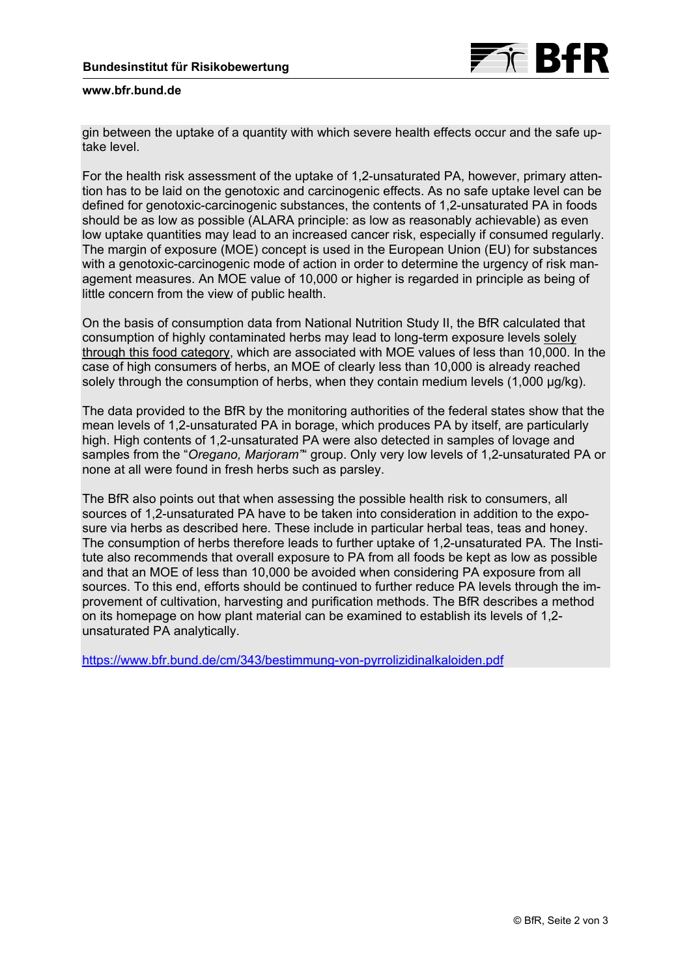

# **www.bfr.bund.de**

gin between the uptake of a quantity with which severe health effects occur and the safe uptake level.

For the health risk assessment of the uptake of 1,2-unsaturated PA, however, primary attention has to be laid on the genotoxic and carcinogenic effects. As no safe uptake level can be defined for genotoxic-carcinogenic substances, the contents of 1,2-unsaturated PA in foods should be as low as possible (ALARA principle: as low as reasonably achievable) as even low uptake quantities may lead to an increased cancer risk, especially if consumed regularly. The margin of exposure (MOE) concept is used in the European Union (EU) for substances with a genotoxic-carcinogenic mode of action in order to determine the urgency of risk management measures. An MOE value of 10,000 or higher is regarded in principle as being of little concern from the view of public health.

On the basis of consumption data from National Nutrition Study II, the BfR calculated that consumption of highly contaminated herbs may lead to long-term exposure levels solely through this food category, which are associated with MOE values of less than 10,000. In the case of high consumers of herbs, an MOE of clearly less than 10,000 is already reached solely through the consumption of herbs, when they contain medium levels (1,000 µg/kg).

The data provided to the BfR by the monitoring authorities of the federal states show that the mean levels of 1,2-unsaturated PA in borage, which produces PA by itself, are particularly high. High contents of 1,2-unsaturated PA were also detected in samples of lovage and samples from the "*Oregano, Marjoram"*" group. Only very low levels of 1,2-unsaturated PA or none at all were found in fresh herbs such as parsley.

The BfR also points out that when assessing the possible health risk to consumers, all sources of 1,2-unsaturated PA have to be taken into consideration in addition to the exposure via herbs as described here. These include in particular herbal teas, teas and honey. The consumption of herbs therefore leads to further uptake of 1,2-unsaturated PA. The Institute also recommends that overall exposure to PA from all foods be kept as low as possible and that an MOE of less than 10,000 be avoided when considering PA exposure from all sources. To this end, efforts should be continued to further reduce PA levels through the improvement of cultivation, harvesting and purification methods. The BfR describes a method on its homepage on how plant material can be examined to establish its levels of 1,2 unsaturated PA analytically.

<https://www.bfr.bund.de/cm/343/bestimmung-von-pyrrolizidinalkaloiden.pdf>